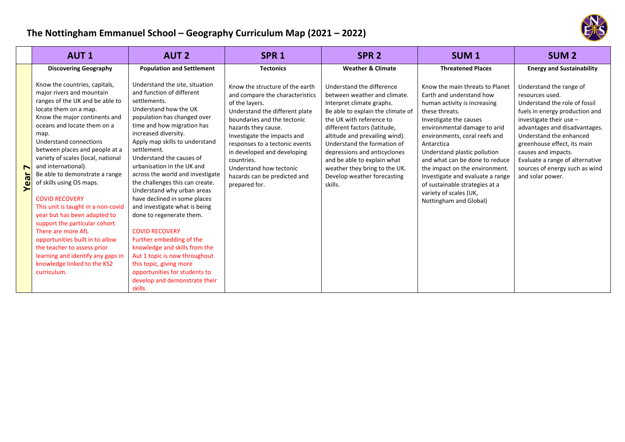

|                        | <b>AUT1</b>                                                                                                                                                                                                                                                                                                                                                                                                                                                                                                                                                                                                                                                                                       | <b>AUT 2</b>                                                                                                                                                                                                                                                                                                                                                                                                                                                                                                                                                                                                                                                                                                                         | SPR <sub>1</sub>                                                                                                                                                                                                                                                                                                                                                       | SPR <sub>2</sub>                                                                                                                                                                                                                                                                                                                                                                                   | <b>SUM1</b>                                                                                                                                                                                                                                                                                                                                                                                                                                          | <b>SUM2</b>                                                                                                                                                                                                                                                                                                                                           |
|------------------------|---------------------------------------------------------------------------------------------------------------------------------------------------------------------------------------------------------------------------------------------------------------------------------------------------------------------------------------------------------------------------------------------------------------------------------------------------------------------------------------------------------------------------------------------------------------------------------------------------------------------------------------------------------------------------------------------------|--------------------------------------------------------------------------------------------------------------------------------------------------------------------------------------------------------------------------------------------------------------------------------------------------------------------------------------------------------------------------------------------------------------------------------------------------------------------------------------------------------------------------------------------------------------------------------------------------------------------------------------------------------------------------------------------------------------------------------------|------------------------------------------------------------------------------------------------------------------------------------------------------------------------------------------------------------------------------------------------------------------------------------------------------------------------------------------------------------------------|----------------------------------------------------------------------------------------------------------------------------------------------------------------------------------------------------------------------------------------------------------------------------------------------------------------------------------------------------------------------------------------------------|------------------------------------------------------------------------------------------------------------------------------------------------------------------------------------------------------------------------------------------------------------------------------------------------------------------------------------------------------------------------------------------------------------------------------------------------------|-------------------------------------------------------------------------------------------------------------------------------------------------------------------------------------------------------------------------------------------------------------------------------------------------------------------------------------------------------|
|                        | <b>Discovering Geography</b>                                                                                                                                                                                                                                                                                                                                                                                                                                                                                                                                                                                                                                                                      | <b>Population and Settlement</b>                                                                                                                                                                                                                                                                                                                                                                                                                                                                                                                                                                                                                                                                                                     | <b>Tectonics</b>                                                                                                                                                                                                                                                                                                                                                       | <b>Weather &amp; Climate</b>                                                                                                                                                                                                                                                                                                                                                                       | <b>Threatened Places</b>                                                                                                                                                                                                                                                                                                                                                                                                                             | <b>Energy and Sustainability</b>                                                                                                                                                                                                                                                                                                                      |
| $\blacksquare$<br>Year | Know the countries, capitals,<br>major rivers and mountain<br>ranges of the UK and be able to<br>locate them on a map.<br>Know the major continents and<br>oceans and locate them on a<br>map.<br>Understand connections<br>between places and people at a<br>variety of scales (local, national<br>and international).<br>Be able to demonstrate a range<br>of skills using OS maps.<br><b>COVID RECOVERY</b><br>This unit is taught in a non-covid<br>year but has been adapted to<br>support the particular cohort.<br>There are more AfL<br>opportunities built in to allow<br>the teacher to assess prior<br>learning and identify any gaps in<br>knowledge linked to the KS2<br>curriculum. | Understand the site, situation<br>and function of different<br>settlements.<br>Understand how the UK<br>population has changed over<br>time and how migration has<br>increased diversity.<br>Apply map skills to understand<br>settlement.<br>Understand the causes of<br>urbanisation in the UK and<br>across the world and investigate<br>the challenges this can create.<br>Understand why urban areas<br>have declined in some places<br>and investigate what is being<br>done to regenerate them.<br><b>COVID RECOVERY</b><br>Further embedding of the<br>knowledge and skills from the<br>Aut 1 topic is now throughout<br>this topic, giving more<br>opportunities for students to<br>develop and demonstrate their<br>skills | Know the structure of the earth<br>and compare the characteristics<br>of the layers.<br>Understand the different plate<br>boundaries and the tectonic<br>hazards they cause.<br>Investigate the impacts and<br>responses to a tectonic events<br>in developed and developing<br>countries.<br>Understand how tectonic<br>hazards can be predicted and<br>prepared for. | Understand the difference<br>between weather and climate.<br>Interpret climate graphs.<br>Be able to explain the climate of<br>the UK with reference to<br>different factors (latitude,<br>altitude and prevailing wind).<br>Understand the formation of<br>depressions and anticyclones<br>and be able to explain what<br>weather they bring to the UK.<br>Develop weather forecasting<br>skills. | Know the main threats to Planet<br>Earth and understand how<br>human activity is increasing<br>these threats.<br>Investigate the causes<br>environmental damage to arid<br>environments, coral reefs and<br>Antarctica<br>Understand plastic pollution<br>and what can be done to reduce<br>the impact on the environment.<br>Investigate and evaluate a range<br>of sustainable strategies at a<br>variety of scales (UK,<br>Nottingham and Global) | Understand the range of<br>resources used.<br>Understand the role of fossil<br>fuels in energy production and<br>investigate their use $-$<br>advantages and disadvantages.<br>Understand the enhanced<br>greenhouse effect, its main<br>causes and impacts.<br>Evaluate a range of alternative<br>sources of energy such as wind<br>and solar power. |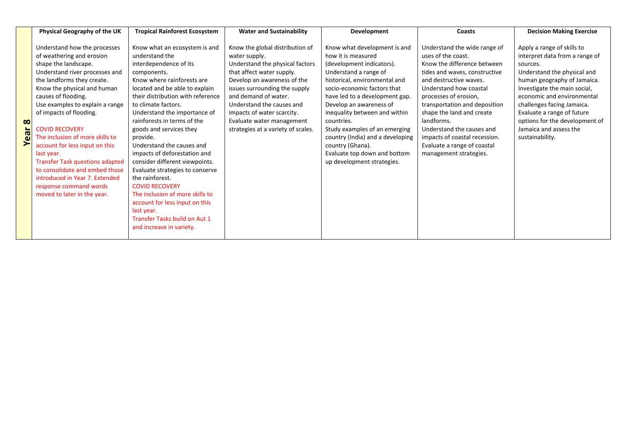|                  | Physical Geography of the UK                                                                                                                                                                                                                                                                                                                                                                                                                                                                                                                             | <b>Tropical Rainforest Ecosystem</b>                                                                                                                                                                                                                                                                                                                                                                                                                                                                                                                                                                                                                     | <b>Water and Sustainability</b>                                                                                                                                                                                                                                                                                                        | Development                                                                                                                                                                                                                                                                                                                                                                                                                                 | Coasts                                                                                                                                                                                                                                                                                                                                                                                             | <b>Decision Making Exercise</b>                                                                                                                                                                                                                                                                                                                 |
|------------------|----------------------------------------------------------------------------------------------------------------------------------------------------------------------------------------------------------------------------------------------------------------------------------------------------------------------------------------------------------------------------------------------------------------------------------------------------------------------------------------------------------------------------------------------------------|----------------------------------------------------------------------------------------------------------------------------------------------------------------------------------------------------------------------------------------------------------------------------------------------------------------------------------------------------------------------------------------------------------------------------------------------------------------------------------------------------------------------------------------------------------------------------------------------------------------------------------------------------------|----------------------------------------------------------------------------------------------------------------------------------------------------------------------------------------------------------------------------------------------------------------------------------------------------------------------------------------|---------------------------------------------------------------------------------------------------------------------------------------------------------------------------------------------------------------------------------------------------------------------------------------------------------------------------------------------------------------------------------------------------------------------------------------------|----------------------------------------------------------------------------------------------------------------------------------------------------------------------------------------------------------------------------------------------------------------------------------------------------------------------------------------------------------------------------------------------------|-------------------------------------------------------------------------------------------------------------------------------------------------------------------------------------------------------------------------------------------------------------------------------------------------------------------------------------------------|
| $\infty$<br>Year | Understand how the processes<br>of weathering and erosion<br>shape the landscape.<br>Understand river processes and<br>the landforms they create.<br>Know the physical and human<br>causes of flooding.<br>Use examples to explain a range<br>of impacts of flooding.<br><b>COVID RECOVERY</b><br>The inclusion of more skills to<br>account for less input on this<br>last year.<br><b>Transfer Task questions adapted</b><br>to consolidate and embed those<br>introduced in Year 7. Extended<br>response command words<br>moved to later in the year. | Know what an ecosystem is and<br>understand the<br>interdependence of its<br>components.<br>Know where rainforests are<br>located and be able to explain<br>their distribution with reference<br>to climate factors.<br>Understand the importance of<br>rainforests in terms of the<br>goods and services they<br>provide.<br>Understand the causes and<br>impacts of deforestation and<br>consider different viewpoints.<br>Evaluate strategies to conserve<br>the rainforest.<br><b>COVID RECOVERY</b><br>The inclusion of more skills to<br>account for less input on this<br>last year.<br>Transfer Tasks build on Aut 1<br>and increase in variety. | Know the global distribution of<br>water supply.<br>Understand the physical factors<br>that affect water supply.<br>Develop an awareness of the<br>issues surrounding the supply<br>and demand of water.<br>Understand the causes and<br>impacts of water scarcity.<br>Evaluate water management<br>strategies at a variety of scales. | Know what development is and<br>how it is measured<br>(development indicators).<br>Understand a range of<br>historical, environmental and<br>socio-economic factors that<br>have led to a development gap.<br>Develop an awareness of<br>inequality between and within<br>countries.<br>Study examples of an emerging<br>country (India) and a developing<br>country (Ghana).<br>Evaluate top down and bottom<br>up development strategies. | Understand the wide range of<br>uses of the coast.<br>Know the difference between<br>tides and waves, constructive<br>and destructive waves.<br>Understand how coastal<br>processes of erosion,<br>transportation and deposition<br>shape the land and create<br>landforms.<br>Understand the causes and<br>impacts of coastal recession.<br>Evaluate a range of coastal<br>management strategies. | Apply a range of skills to<br>interpret data from a range of<br>sources.<br>Understand the physical and<br>human geography of Jamaica.<br>Investigate the main social,<br>economic and environmental<br>challenges facing Jamaica.<br>Evaluate a range of future<br>options for the development of<br>Jamaica and assess the<br>sustainability. |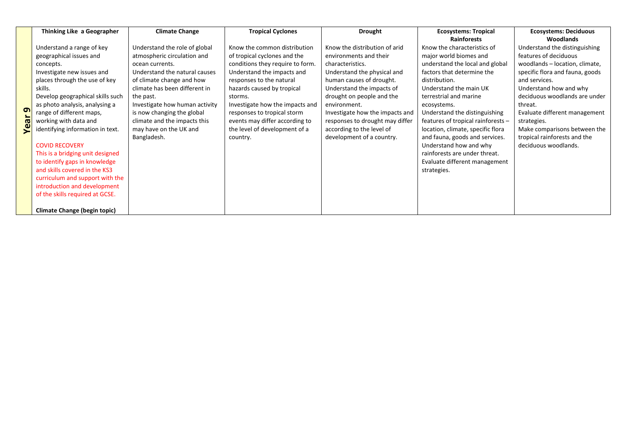|      | Thinking Like a Geographer          | <b>Climate Change</b>          | <b>Tropical Cyclones</b>         | <b>Drought</b>                  | <b>Ecosystems: Tropical</b>        | <b>Ecosystems: Deciduous</b>    |
|------|-------------------------------------|--------------------------------|----------------------------------|---------------------------------|------------------------------------|---------------------------------|
|      |                                     |                                |                                  |                                 | <b>Rainforests</b>                 | Woodlands                       |
|      | Understand a range of key           | Understand the role of global  | Know the common distribution     | Know the distribution of arid   | Know the characteristics of        | Understand the distinguishing   |
|      | geographical issues and             | atmospheric circulation and    | of tropical cyclones and the     | environments and their          | major world biomes and             | features of deciduous           |
|      | concepts.                           | ocean currents.                | conditions they require to form. | characteristics.                | understand the local and global    | woodlands - location, climate,  |
|      | Investigate new issues and          | Understand the natural causes  | Understand the impacts and       | Understand the physical and     | factors that determine the         | specific flora and fauna, goods |
|      | places through the use of key       | of climate change and how      | responses to the natural         | human causes of drought.        | distribution.                      | and services.                   |
|      | skills.                             | climate has been different in  | hazards caused by tropical       | Understand the impacts of       | Understand the main UK             | Understand how and why          |
|      | Develop geographical skills such    | the past.                      | storms.                          | drought on people and the       | terrestrial and marine             | deciduous woodlands are under   |
|      | as photo analysis, analysing a      | Investigate how human activity | Investigate how the impacts and  | environment.                    | ecosystems.                        | threat.                         |
| G    | range of different maps,            | is now changing the global     | responses to tropical storm      | Investigate how the impacts and | Understand the distinguishing      | Evaluate different management   |
|      | working with data and               | climate and the impacts this   | events may differ according to   | responses to drought may differ | features of tropical rainforests - | strategies.                     |
| Year | identifying information in text.    | may have on the UK and         | the level of development of a    | according to the level of       | location, climate, specific flora  | Make comparisons between the    |
|      |                                     | Bangladesh.                    | country.                         | development of a country.       | and fauna, goods and services.     | tropical rainforests and the    |
|      | <b>COVID RECOVERY</b>               |                                |                                  |                                 | Understand how and why             | deciduous woodlands.            |
|      | This is a bridging unit designed    |                                |                                  |                                 | rainforests are under threat.      |                                 |
|      | to identify gaps in knowledge       |                                |                                  |                                 | Evaluate different management      |                                 |
|      | and skills covered in the KS3       |                                |                                  |                                 | strategies.                        |                                 |
|      | curriculum and support with the     |                                |                                  |                                 |                                    |                                 |
|      | introduction and development        |                                |                                  |                                 |                                    |                                 |
|      | of the skills required at GCSE.     |                                |                                  |                                 |                                    |                                 |
|      |                                     |                                |                                  |                                 |                                    |                                 |
|      | <b>Climate Change (begin topic)</b> |                                |                                  |                                 |                                    |                                 |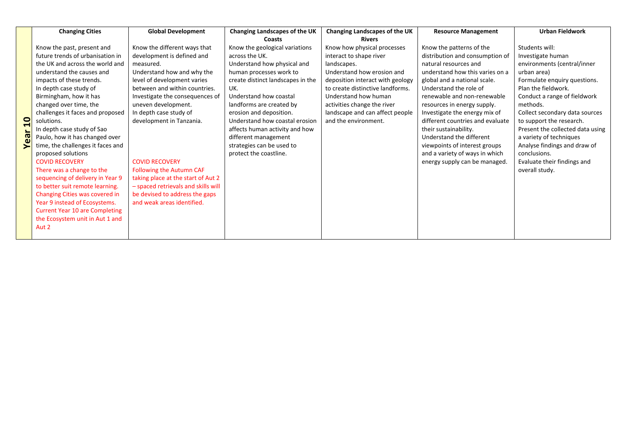|              | <b>Changing Cities</b>                | <b>Global Development</b>           | Changing Landscapes of the UK     | Changing Landscapes of the UK    | <b>Resource Management</b>       | <b>Urban Fieldwork</b>           |
|--------------|---------------------------------------|-------------------------------------|-----------------------------------|----------------------------------|----------------------------------|----------------------------------|
|              |                                       |                                     | <b>Coasts</b>                     | <b>Rivers</b>                    |                                  |                                  |
|              | Know the past, present and            | Know the different ways that        | Know the geological variations    | Know how physical processes      | Know the patterns of the         | Students will:                   |
|              | future trends of urbanisation in      | development is defined and          | across the UK.                    | interact to shape river          | distribution and consumption of  | Investigate human                |
|              | the UK and across the world and       | measured.                           | Understand how physical and       | landscapes.                      | natural resources and            | environments (central/inner      |
|              | understand the causes and             | Understand how and why the          | human processes work to           | Understand how erosion and       | understand how this varies on a  | urban area)                      |
|              | impacts of these trends.              | level of development varies         | create distinct landscapes in the | deposition interact with geology | global and a national scale.     | Formulate enquiry questions.     |
|              | In depth case study of                | between and within countries.       | UK.                               | to create distinctive landforms. | Understand the role of           | Plan the fieldwork.              |
|              | Birmingham, how it has                | Investigate the consequences of     | Understand how coastal            | Understand how human             | renewable and non-renewable      | Conduct a range of fieldwork     |
|              | changed over time, the                | uneven development.                 | landforms are created by          | activities change the river      | resources in energy supply.      | methods.                         |
|              | challenges it faces and proposed      | In depth case study of              | erosion and deposition.           | landscape and can affect people  | Investigate the energy mix of    | Collect secondary data sources   |
| $\mathbf{Q}$ | solutions.                            | development in Tanzania.            | Understand how coastal erosion    | and the environment.             | different countries and evaluate | to support the research.         |
|              | In depth case study of Sao            |                                     | affects human activity and how    |                                  | their sustainability.            | Present the collected data using |
|              | Paulo, how it has changed over        |                                     | different management              |                                  | Understand the different         | a variety of techniques          |
| Year         | time, the challenges it faces and     |                                     | strategies can be used to         |                                  | viewpoints of interest groups    | Analyse findings and draw of     |
|              | proposed solutions                    |                                     | protect the coastline.            |                                  | and a variety of ways in which   | conclusions.                     |
|              | <b>COVID RECOVERY</b>                 | <b>COVID RECOVERY</b>               |                                   |                                  | energy supply can be managed.    | Evaluate their findings and      |
|              | There was a change to the             | <b>Following the Autumn CAF</b>     |                                   |                                  |                                  | overall study.                   |
|              | sequencing of delivery in Year 9      | taking place at the start of Aut 2  |                                   |                                  |                                  |                                  |
|              | to better suit remote learning.       | - spaced retrievals and skills will |                                   |                                  |                                  |                                  |
|              | Changing Cities was covered in        | be devised to address the gaps      |                                   |                                  |                                  |                                  |
|              | Year 9 instead of Ecosystems.         | and weak areas identified.          |                                   |                                  |                                  |                                  |
|              | <b>Current Year 10 are Completing</b> |                                     |                                   |                                  |                                  |                                  |
|              | the Ecosystem unit in Aut 1 and       |                                     |                                   |                                  |                                  |                                  |
|              | Aut 2                                 |                                     |                                   |                                  |                                  |                                  |
|              |                                       |                                     |                                   |                                  |                                  |                                  |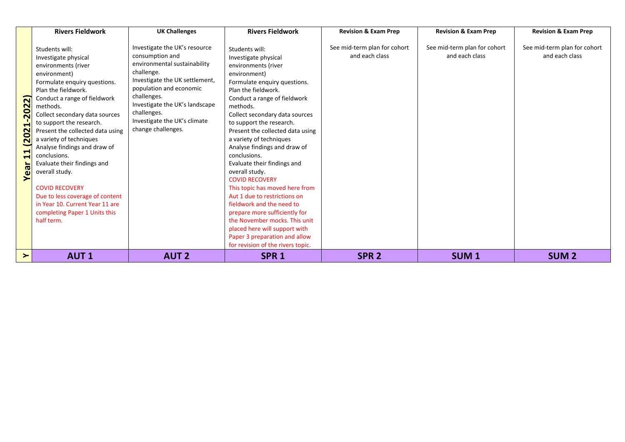|                                                                                                                         | <b>Rivers Fieldwork</b>                                                                                                                                                                                                                                                                                                                                                                                                                                                                                                                                      | <b>UK Challenges</b>                                                                                                                                                                                                                                                              | <b>Rivers Fieldwork</b>                                                                                                                                                                                                                                                                                                                                                                                                                                                                                                                                                                                                                                                                                         | <b>Revision &amp; Exam Prep</b>                | <b>Revision &amp; Exam Prep</b>                | <b>Revision &amp; Exam Prep</b>                |
|-------------------------------------------------------------------------------------------------------------------------|--------------------------------------------------------------------------------------------------------------------------------------------------------------------------------------------------------------------------------------------------------------------------------------------------------------------------------------------------------------------------------------------------------------------------------------------------------------------------------------------------------------------------------------------------------------|-----------------------------------------------------------------------------------------------------------------------------------------------------------------------------------------------------------------------------------------------------------------------------------|-----------------------------------------------------------------------------------------------------------------------------------------------------------------------------------------------------------------------------------------------------------------------------------------------------------------------------------------------------------------------------------------------------------------------------------------------------------------------------------------------------------------------------------------------------------------------------------------------------------------------------------------------------------------------------------------------------------------|------------------------------------------------|------------------------------------------------|------------------------------------------------|
| ์ล<br>202<br>$\blacktriangleleft$<br>202<br>$\overline{\phantom{0}}$<br>$\blacktriangleright$<br>$\blacksquare$<br>Year | Students will:<br>Investigate physical<br>environments (river<br>environment)<br>Formulate enquiry questions.<br>Plan the fieldwork.<br>Conduct a range of fieldwork<br>methods.<br>Collect secondary data sources<br>to support the research.<br>Present the collected data using<br>a variety of techniques<br>Analyse findings and draw of<br>conclusions.<br>Evaluate their findings and<br>overall study.<br><b>COVID RECOVERY</b><br>Due to less coverage of content<br>in Year 10. Current Year 11 are<br>completing Paper 1 Units this<br>half term. | Investigate the UK's resource<br>consumption and<br>environmental sustainability<br>challenge.<br>Investigate the UK settlement,<br>population and economic<br>challenges.<br>Investigate the UK's landscape<br>challenges.<br>Investigate the UK's climate<br>change challenges. | Students will:<br>Investigate physical<br>environments (river<br>environment)<br>Formulate enquiry questions.<br>Plan the fieldwork.<br>Conduct a range of fieldwork<br>methods.<br>Collect secondary data sources<br>to support the research.<br>Present the collected data using<br>a variety of techniques<br>Analyse findings and draw of<br>conclusions.<br>Evaluate their findings and<br>overall study.<br><b>COVID RECOVERY</b><br>This topic has moved here from<br>Aut 1 due to restrictions on<br>fieldwork and the need to<br>prepare more sufficiently for<br>the November mocks. This unit<br>placed here will support with<br>Paper 3 preparation and allow<br>for revision of the rivers topic. | See mid-term plan for cohort<br>and each class | See mid-term plan for cohort<br>and each class | See mid-term plan for cohort<br>and each class |
| ≻                                                                                                                       | <b>AUT1</b>                                                                                                                                                                                                                                                                                                                                                                                                                                                                                                                                                  | <b>AUT 2</b>                                                                                                                                                                                                                                                                      | SPR <sub>1</sub>                                                                                                                                                                                                                                                                                                                                                                                                                                                                                                                                                                                                                                                                                                | SPR <sub>2</sub>                               | SUM <sub>1</sub>                               | <b>SUM2</b>                                    |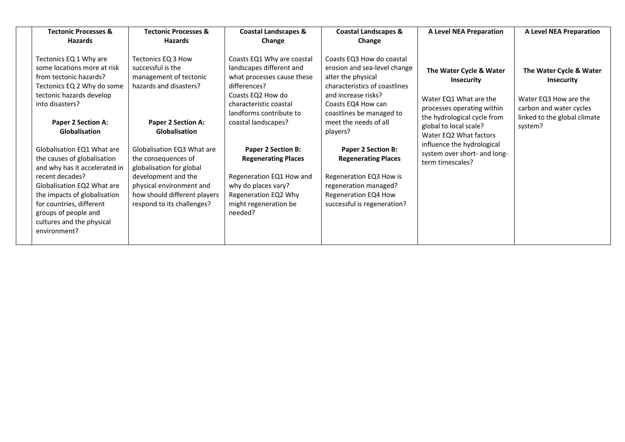| <b>Tectonic Processes &amp;</b><br><b>Hazards</b>                                                                                                                              | <b>Tectonic Processes &amp;</b><br><b>Hazards</b>                                                             | <b>Coastal Landscapes &amp;</b><br>Change                                                                                                                                      | <b>Coastal Landscapes &amp;</b><br>Change                                                                                                                                                 | <b>A Level NEA Preparation</b>                                                                       | <b>A Level NEA Preparation</b>                                                                   |
|--------------------------------------------------------------------------------------------------------------------------------------------------------------------------------|---------------------------------------------------------------------------------------------------------------|--------------------------------------------------------------------------------------------------------------------------------------------------------------------------------|-------------------------------------------------------------------------------------------------------------------------------------------------------------------------------------------|------------------------------------------------------------------------------------------------------|--------------------------------------------------------------------------------------------------|
| Tectonics EQ 1 Why are<br>some locations more at risk<br>from tectonic hazards?<br>Tectonics EQ 2 Why do some<br>tectonic hazards develop<br>into disasters?                   | Tectonics EQ 3 How<br>successful is the<br>management of tectonic<br>hazards and disasters?                   | Coasts EQ1 Why are coastal<br>landscapes different and<br>what processes cause these<br>differences?<br>Coasts EQ2 How do<br>characteristic coastal<br>landforms contribute to | Coasts EQ3 How do coastal<br>erosion and sea-level change<br>alter the physical<br>characteristics of coastlines<br>and increase risks?<br>Coasts EQ4 How can<br>coastlines be managed to | The Water Cycle & Water<br><b>Insecurity</b><br>Water EQ1 What are the<br>processes operating within | The Water Cycle & Water<br><b>Insecurity</b><br>Water EQ3 How are the<br>carbon and water cycles |
| <b>Paper 2 Section A:</b><br>Globalisation                                                                                                                                     | <b>Paper 2 Section A:</b><br>Globalisation                                                                    | coastal landscapes?                                                                                                                                                            | meet the needs of all<br>players?                                                                                                                                                         | the hydrological cycle from<br>global to local scale?<br>Water EQ2 What factors                      | linked to the global climate<br>system?                                                          |
| Globalisation EQ1 What are<br>the causes of globalisation<br>and why has it accelerated in                                                                                     | Globalisation EQ3 What are<br>the consequences of<br>globalisation for global                                 | <b>Paper 2 Section B:</b><br><b>Regenerating Places</b>                                                                                                                        | <b>Paper 2 Section B:</b><br><b>Regenerating Places</b>                                                                                                                                   | influence the hydrological<br>system over short- and long-<br>term timescales?                       |                                                                                                  |
| recent decades?<br>Globalisation EQ2 What are<br>the impacts of globalisation<br>for countries, different<br>groups of people and<br>cultures and the physical<br>environment? | development and the<br>physical environment and<br>how should different players<br>respond to its challenges? | Regeneration EQ1 How and<br>why do places vary?<br>Regeneration EQ2 Why<br>might regeneration be<br>needed?                                                                    | Regeneration EQ3 How is<br>regeneration managed?<br>Regeneration EQ4 How<br>successful is regeneration?                                                                                   |                                                                                                      |                                                                                                  |